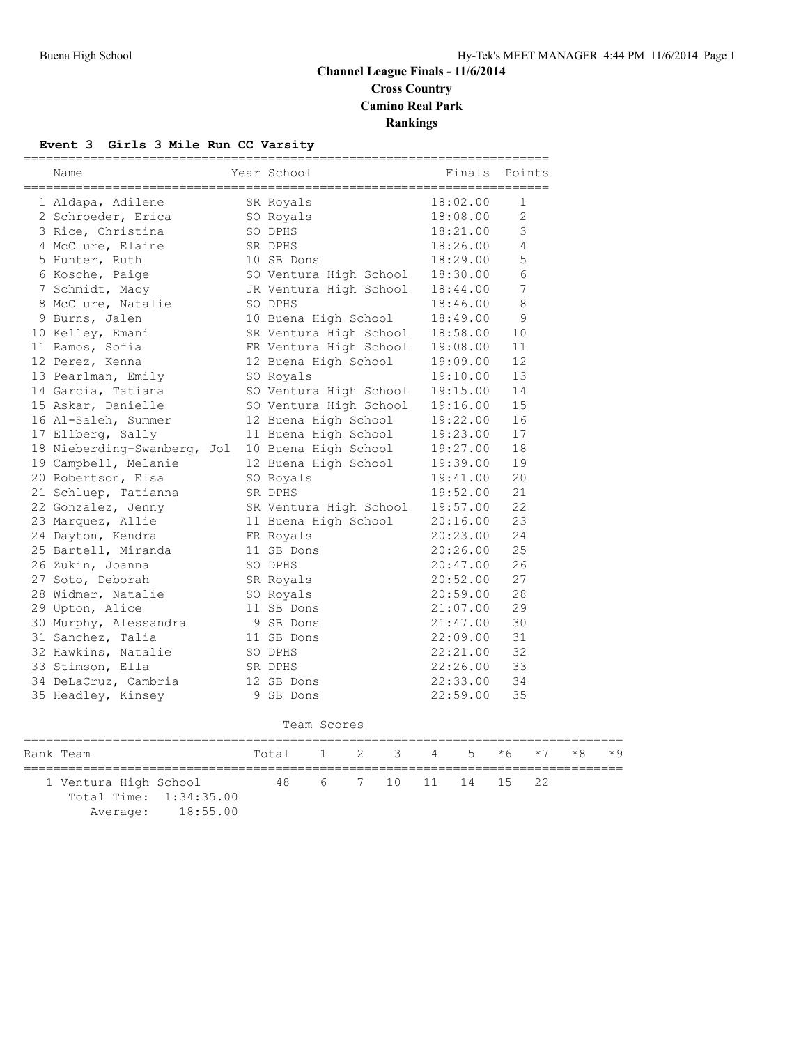## **Channel League Finals - 11/6/2014 Cross Country Camino Real Park Rankings**

#### **Event 3 Girls 3 Mile Run CC Varsity**

| Name                        | Year School            | Finals   | Points |
|-----------------------------|------------------------|----------|--------|
| 1 Aldapa, Adilene           | SR Royals              | 18:02.00 | 1      |
| 2 Schroeder, Erica          | SO Royals              | 18:08.00 | 2      |
| 3 Rice, Christina           | SO DPHS                | 18:21.00 | 3      |
| 4 McClure, Elaine           | SR DPHS                | 18:26.00 | 4      |
| 5 Hunter, Ruth              | 10 SB Dons             | 18:29.00 | 5      |
| 6 Kosche, Paige             | SO Ventura High School | 18:30.00 | 6      |
| 7 Schmidt, Macy             | JR Ventura High School | 18:44.00 | 7      |
| 8 McClure, Natalie          | SO DPHS                | 18:46.00 | 8      |
| 9 Burns, Jalen              | 10 Buena High School   | 18:49.00 | 9      |
| 10 Kelley, Emani            | SR Ventura High School | 18:58.00 | 10     |
| 11 Ramos, Sofia             | FR Ventura High School | 19:08.00 | 11     |
| 12 Perez, Kenna             | 12 Buena High School   | 19:09.00 | 12     |
| 13 Pearlman, Emily          | SO Royals              | 19:10.00 | 13     |
| 14 Garcia, Tatiana          | SO Ventura High School | 19:15.00 | 14     |
| 15 Askar, Danielle          | SO Ventura High School | 19:16.00 | 15     |
| 16 Al-Saleh, Summer         | 12 Buena High School   | 19:22.00 | 16     |
| 17 Ellberg, Sally           | 11 Buena High School   | 19:23.00 | 17     |
| 18 Nieberding-Swanberg, Jol | 10 Buena High School   | 19:27.00 | 18     |
| 19 Campbell, Melanie        | 12 Buena High School   | 19:39.00 | 19     |
| 20 Robertson, Elsa          | SO Royals              | 19:41.00 | 20     |
| 21 Schluep, Tatianna        | SR DPHS                | 19:52.00 | 21     |
| 22 Gonzalez, Jenny          | SR Ventura High School | 19:57.00 | 22     |
| 23 Marquez, Allie           | 11 Buena High School   | 20:16.00 | 23     |
| 24 Dayton, Kendra           | FR Royals              | 20:23.00 | 24     |
| 25 Bartell, Miranda         | 11 SB Dons             | 20:26.00 | 25     |
| 26 Zukin, Joanna            | SO DPHS                | 20:47.00 | 26     |
| 27 Soto, Deborah            | SR Royals              | 20:52.00 | 27     |
| 28 Widmer, Natalie          | SO Royals              | 20:59.00 | 28     |
| 29 Upton, Alice             | 11 SB Dons             | 21:07.00 | 29     |
| 30 Murphy, Alessandra       | 9 SB Dons              | 21:47.00 | 30     |
| 31 Sanchez, Talia           | 11 SB Dons             | 22:09.00 | 31     |
| 32 Hawkins, Natalie         | SO DPHS                | 22:21.00 | 32     |
| 33 Stimson, Ella            | SR DPHS                | 22:26.00 | 33     |
| 34 DeLaCruz, Cambria        | 12 SB Dons             | 22:33.00 | 34     |
| 35 Headley, Kinsey          | 9 SB Dons              | 22:59.00 | 35     |

|  | Rank Team                                       |                   | Total 1 2 3 4 5 $*6$ $*7$ $*8$ $*9$ |  |  |  |  |                       |  |  |  |
|--|-------------------------------------------------|-------------------|-------------------------------------|--|--|--|--|-----------------------|--|--|--|
|  | 1 Ventura High School<br>Total Time: 1:34:35.00 |                   |                                     |  |  |  |  | 48 6 7 10 11 14 15 22 |  |  |  |
|  |                                                 | Average: 18:55.00 |                                     |  |  |  |  |                       |  |  |  |